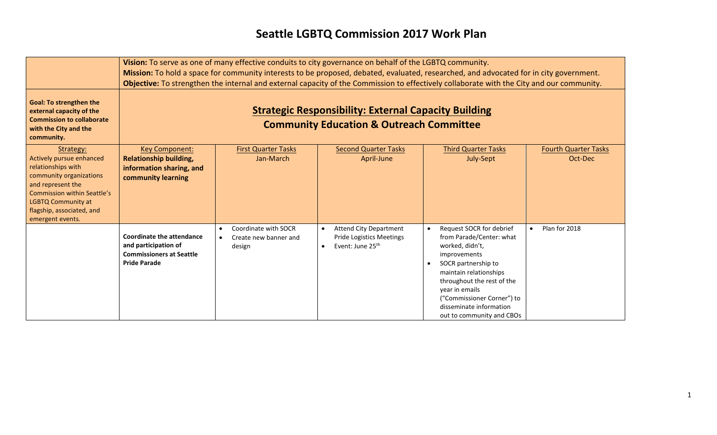## **Seattle LGBTQ Commission 2017 Work Plan**

|                                                                                                                                                                                                                                 | Vision: To serve as one of many effective conduits to city governance on behalf of the LGBTQ community.<br>Mission: To hold a space for community interests to be proposed, debated, evaluated, researched, and advocated for in city government.<br>Objective: To strengthen the internal and external capacity of the Commission to effectively collaborate with the City and our community. |                                                                      |                                                                                                  |                                                                                                                                                                                                                                                                                                          |                                        |
|---------------------------------------------------------------------------------------------------------------------------------------------------------------------------------------------------------------------------------|------------------------------------------------------------------------------------------------------------------------------------------------------------------------------------------------------------------------------------------------------------------------------------------------------------------------------------------------------------------------------------------------|----------------------------------------------------------------------|--------------------------------------------------------------------------------------------------|----------------------------------------------------------------------------------------------------------------------------------------------------------------------------------------------------------------------------------------------------------------------------------------------------------|----------------------------------------|
| <b>Goal: To strengthen the</b><br>external capacity of the<br><b>Commission to collaborate</b><br>with the City and the<br>community.                                                                                           | <b>Strategic Responsibility: External Capacity Building</b><br><b>Community Education &amp; Outreach Committee</b>                                                                                                                                                                                                                                                                             |                                                                      |                                                                                                  |                                                                                                                                                                                                                                                                                                          |                                        |
| Strategy:<br>Actively pursue enhanced<br>relationships with<br>community organizations<br>and represent the<br><b>Commission within Seattle's</b><br><b>LGBTQ Community at</b><br>flagship, associated, and<br>emergent events. | <b>Key Component:</b><br><b>Relationship building,</b><br>information sharing, and<br>community learning                                                                                                                                                                                                                                                                                       | <b>First Quarter Tasks</b><br>Jan-March                              | <b>Second Quarter Tasks</b><br>April-June                                                        | <b>Third Quarter Tasks</b><br>July-Sept                                                                                                                                                                                                                                                                  | <b>Fourth Quarter Tasks</b><br>Oct-Dec |
|                                                                                                                                                                                                                                 | <b>Coordinate the attendance</b><br>and participation of<br><b>Commissioners at Seattle</b><br><b>Pride Parade</b>                                                                                                                                                                                                                                                                             | Coordinate with SOCR<br>Create new banner and<br>$\bullet$<br>design | <b>Attend City Department</b><br><b>Pride Logistics Meetings</b><br>Event: June 25 <sup>th</sup> | Request SOCR for debrief<br>$\bullet$<br>from Parade/Center: what<br>worked, didn't,<br>improvements<br>SOCR partnership to<br>$\bullet$<br>maintain relationships<br>throughout the rest of the<br>year in emails<br>("Commissioner Corner") to<br>disseminate information<br>out to community and CBOs | Plan for 2018<br>$\bullet$             |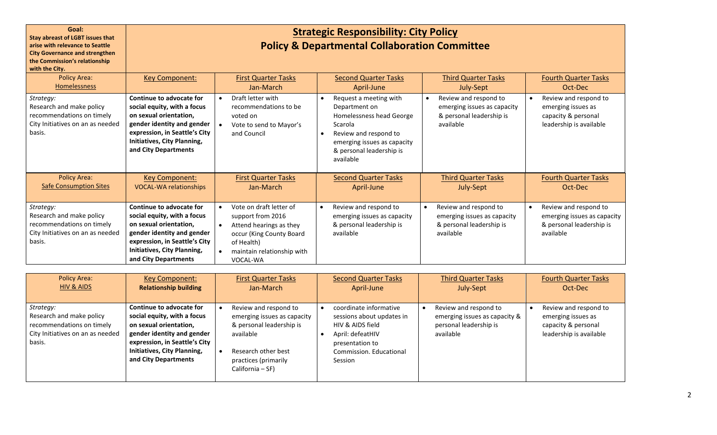| Goal:<br><b>Stay abreast of LGBT issues that</b><br>arise with relevance to Seattle<br><b>City Governance and strengthen</b><br>the Commission's relationship<br>with the City. | <b>Strategic Responsibility: City Policy</b><br><b>Policy &amp; Departmental Collaboration Committee</b>                                                                                                |                                                                                                                                                                                                    |                                                                                                                                                                                              |                                                                                                            |                                                                                                            |
|---------------------------------------------------------------------------------------------------------------------------------------------------------------------------------|---------------------------------------------------------------------------------------------------------------------------------------------------------------------------------------------------------|----------------------------------------------------------------------------------------------------------------------------------------------------------------------------------------------------|----------------------------------------------------------------------------------------------------------------------------------------------------------------------------------------------|------------------------------------------------------------------------------------------------------------|------------------------------------------------------------------------------------------------------------|
| <b>Policy Area:</b><br><b>Homelessness</b>                                                                                                                                      | <b>Key Component:</b>                                                                                                                                                                                   | <b>First Quarter Tasks</b><br>Jan-March                                                                                                                                                            | <b>Second Quarter Tasks</b><br>April-June                                                                                                                                                    | <b>Third Quarter Tasks</b><br>July-Sept                                                                    | <b>Fourth Quarter Tasks</b><br>Oct-Dec                                                                     |
| Strategy:<br>Research and make policy<br>recommendations on timely<br>City Initiatives on an as needed<br>basis.                                                                | Continue to advocate for<br>social equity, with a focus<br>on sexual orientation,<br>gender identity and gender<br>expression, in Seattle's City<br>Initiatives, City Planning,<br>and City Departments | Draft letter with<br>$\bullet$<br>recommendations to be<br>voted on<br>Vote to send to Mayor's<br>and Council                                                                                      | Request a meeting with<br>$\bullet$<br>Department on<br>Homelessness head George<br>Scarola<br>Review and respond to<br>emerging issues as capacity<br>& personal leadership is<br>available | Review and respond to<br>$\bullet$<br>emerging issues as capacity<br>& personal leadership is<br>available | Review and respond to<br>$\bullet$<br>emerging issues as<br>capacity & personal<br>leadership is available |
| <b>Policy Area:</b><br><b>Safe Consumption Sites</b>                                                                                                                            | <b>Key Component:</b><br><b>VOCAL-WA relationships</b>                                                                                                                                                  | <b>First Quarter Tasks</b><br>Jan-March                                                                                                                                                            | <b>Second Quarter Tasks</b><br>April-June                                                                                                                                                    | <b>Third Quarter Tasks</b><br>July-Sept                                                                    | <b>Fourth Quarter Tasks</b><br>Oct-Dec                                                                     |
| Strategy:<br>Research and make policy<br>recommendations on timely<br>City Initiatives on an as needed<br>basis.                                                                | Continue to advocate for<br>social equity, with a focus<br>on sexual orientation,<br>gender identity and gender<br>expression, in Seattle's City<br>Initiatives, City Planning,<br>and City Departments | Vote on draft letter of<br>$\bullet$<br>support from 2016<br>Attend hearings as they<br>$\bullet$<br>occur (King County Board<br>of Health)<br>maintain relationship with<br>$\bullet$<br>VOCAL-WA | Review and respond to<br>emerging issues as capacity<br>& personal leadership is<br>available                                                                                                | Review and respond to<br>emerging issues as capacity<br>& personal leadership is<br>available              | Review and respond to<br>emerging issues as capacity<br>& personal leadership is<br>available              |

| <b>Policy Area:</b>                                                                                              | <b>Key Component:</b>                                                                                                                                                                                   | <b>First Quarter Tasks</b>                                                                                                                                       | <b>Second Quarter Tasks</b>                                                                                                                          | <b>Third Quarter Tasks</b>                                                                    | <b>Fourth Quarter Tasks</b>                                                                   |
|------------------------------------------------------------------------------------------------------------------|---------------------------------------------------------------------------------------------------------------------------------------------------------------------------------------------------------|------------------------------------------------------------------------------------------------------------------------------------------------------------------|------------------------------------------------------------------------------------------------------------------------------------------------------|-----------------------------------------------------------------------------------------------|-----------------------------------------------------------------------------------------------|
| HIV & AIDS                                                                                                       | <b>Relationship building</b>                                                                                                                                                                            | Jan-March                                                                                                                                                        | April-June                                                                                                                                           | July-Sept                                                                                     | Oct-Dec                                                                                       |
| Strategy:<br>Research and make policy<br>recommendations on timely<br>City Initiatives on an as needed<br>basis. | Continue to advocate for<br>social equity, with a focus<br>on sexual orientation,<br>gender identity and gender<br>expression, in Seattle's City<br>Initiatives, City Planning,<br>and City Departments | Review and respond to<br>emerging issues as capacity<br>& personal leadership is<br>available<br>Research other best<br>practices (primarily<br>California - SF) | coordinate informative<br>sessions about updates in<br>HIV & AIDS field<br>April: defeatHIV<br>presentation to<br>Commission. Educational<br>Session | Review and respond to<br>emerging issues as capacity &<br>personal leadership is<br>available | Review and respond to<br>emerging issues as<br>capacity & personal<br>leadership is available |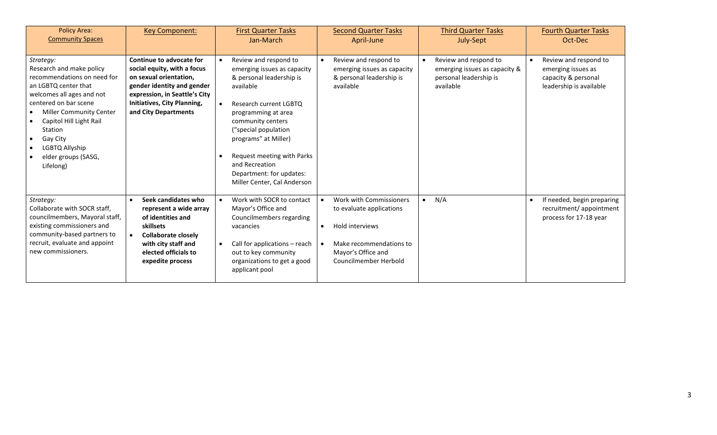| <b>Policy Area:</b><br><b>Community Spaces</b>                                                                                                                                                                                                                                               | <b>Key Component:</b>                                                                                                                                                                                   | <b>First Quarter Tasks</b><br>Jan-March                                                                                                                                                                                                                                                                                                                  | <b>Second Quarter Tasks</b><br>April-June                                                                                                        | <b>Third Quarter Tasks</b><br>July-Sept                                                       | <b>Fourth Quarter Tasks</b><br>Oct-Dec                                                        |
|----------------------------------------------------------------------------------------------------------------------------------------------------------------------------------------------------------------------------------------------------------------------------------------------|---------------------------------------------------------------------------------------------------------------------------------------------------------------------------------------------------------|----------------------------------------------------------------------------------------------------------------------------------------------------------------------------------------------------------------------------------------------------------------------------------------------------------------------------------------------------------|--------------------------------------------------------------------------------------------------------------------------------------------------|-----------------------------------------------------------------------------------------------|-----------------------------------------------------------------------------------------------|
| Strategy:<br>Research and make policy<br>recommendations on need for<br>an LGBTQ center that<br>welcomes all ages and not<br>centered on bar scene<br><b>Miller Community Center</b><br>Capitol Hill Light Rail<br>Station<br>Gay City<br>LGBTQ Allyship<br>elder groups (SASG,<br>Lifelong) | Continue to advocate for<br>social equity, with a focus<br>on sexual orientation,<br>gender identity and gender<br>expression, in Seattle's City<br>Initiatives, City Planning,<br>and City Departments | Review and respond to<br>emerging issues as capacity<br>& personal leadership is<br>available<br>Research current LGBTQ<br>$\bullet$<br>programming at area<br>community centers<br>("special population<br>programs" at Miller)<br>Request meeting with Parks<br>$\bullet$<br>and Recreation<br>Department: for updates:<br>Miller Center, Cal Anderson | Review and respond to<br>emerging issues as capacity<br>& personal leadership is<br>available                                                    | Review and respond to<br>emerging issues as capacity &<br>personal leadership is<br>available | Review and respond to<br>emerging issues as<br>capacity & personal<br>leadership is available |
| Strategy:<br>Collaborate with SOCR staff.<br>councilmembers, Mayoral staff,<br>existing commissioners and<br>community-based partners to<br>recruit, evaluate and appoint<br>new commissioners.                                                                                              | Seek candidates who<br>represent a wide array<br>of identities and<br>skillsets<br><b>Collaborate closely</b><br>$\bullet$<br>with city staff and<br>elected officials to<br>expedite process           | Work with SOCR to contact<br>$\bullet$<br>Mayor's Office and<br>Councilmembers regarding<br>vacancies<br>Call for applications - reach<br>$\bullet$<br>out to key community<br>organizations to get a good<br>applicant pool                                                                                                                             | Work with Commissioners<br>to evaluate applications<br>Hold interviews<br>Make recommendations to<br>Mayor's Office and<br>Councilmember Herbold | N/A<br>$\bullet$                                                                              | If needed, begin preparing<br>recruitment/appointment<br>process for 17-18 year               |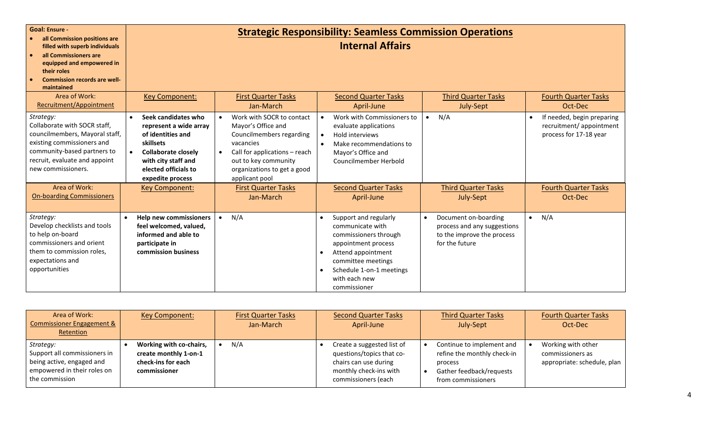| <b>Goal: Ensure -</b><br>all Commission positions are<br>filled with superb individuals<br>all Commissioners are<br>equipped and empowered in<br>their roles<br><b>Commission records are well-</b><br>maintained |                                                                                                                                                                                                                                     |                                                                                                                                                                                                                                               | <b>Strategic Responsibility: Seamless Commission Operations</b><br><b>Internal Affairs</b>                                                                                                                |                                                                                                     |                                                                                                                |
|-------------------------------------------------------------------------------------------------------------------------------------------------------------------------------------------------------------------|-------------------------------------------------------------------------------------------------------------------------------------------------------------------------------------------------------------------------------------|-----------------------------------------------------------------------------------------------------------------------------------------------------------------------------------------------------------------------------------------------|-----------------------------------------------------------------------------------------------------------------------------------------------------------------------------------------------------------|-----------------------------------------------------------------------------------------------------|----------------------------------------------------------------------------------------------------------------|
| Area of Work:<br>Recruitment/Appointment                                                                                                                                                                          | <b>Key Component:</b>                                                                                                                                                                                                               | <b>First Quarter Tasks</b><br>Jan-March                                                                                                                                                                                                       | <b>Second Quarter Tasks</b><br>April-June                                                                                                                                                                 | <b>Third Quarter Tasks</b><br>July-Sept                                                             | <b>Fourth Quarter Tasks</b><br>Oct-Dec                                                                         |
| Strategy:<br>Collaborate with SOCR staff,<br>councilmembers, Mayoral staff,<br>existing commissioners and<br>community-based partners to<br>recruit, evaluate and appoint<br>new commissioners.<br>Area of Work:  | Seek candidates who<br>$\bullet$<br>represent a wide array<br>of identities and<br>skillsets<br><b>Collaborate closely</b><br>$\bullet$<br>with city staff and<br>elected officials to<br>expedite process<br><b>Key Component:</b> | Work with SOCR to contact<br>$\bullet$<br>Mayor's Office and<br>Councilmembers regarding<br>vacancies<br>Call for applications - reach<br>out to key community<br>organizations to get a good<br>applicant pool<br><b>First Quarter Tasks</b> | Work with Commissioners to<br>$\bullet$<br>evaluate applications<br>Hold interviews<br>Make recommendations to<br>$\bullet$<br>Mayor's Office and<br>Councilmember Herbold<br><b>Second Quarter Tasks</b> | N/A<br>$\bullet$<br><b>Third Quarter Tasks</b>                                                      | If needed, begin preparing<br>recruitment/appointment<br>process for 17-18 year<br><b>Fourth Quarter Tasks</b> |
| <b>On-boarding Commissioners</b>                                                                                                                                                                                  |                                                                                                                                                                                                                                     | Jan-March                                                                                                                                                                                                                                     | April-June                                                                                                                                                                                                | July-Sept                                                                                           | Oct-Dec                                                                                                        |
| Strategy:<br>Develop checklists and tools<br>to help on-board<br>commissioners and orient<br>them to commission roles,<br>expectations and<br>opportunities                                                       | <b>Help new commissioners</b><br>feel welcomed, valued,<br>informed and able to<br>participate in<br>commission business                                                                                                            | N/A                                                                                                                                                                                                                                           | Support and regularly<br>communicate with<br>commissioners through<br>appointment process<br>Attend appointment<br>committee meetings<br>Schedule 1-on-1 meetings<br>with each new<br>commissioner        | Document on-boarding<br>process and any suggestions<br>to the improve the process<br>for the future | N/A<br>$\bullet$                                                                                               |

| Area of Work:<br><b>Commissioner Engagement &amp;</b><br>Retention                                                      | <b>Key Component:</b>                                                                  | <b>First Quarter Tasks</b><br>Jan-March | <b>Second Quarter Tasks</b><br>April-June                                                                                         | <b>Third Quarter Tasks</b><br>July-Sept                                                                               | <b>Fourth Quarter Tasks</b><br>Oct-Dec                                |
|-------------------------------------------------------------------------------------------------------------------------|----------------------------------------------------------------------------------------|-----------------------------------------|-----------------------------------------------------------------------------------------------------------------------------------|-----------------------------------------------------------------------------------------------------------------------|-----------------------------------------------------------------------|
| Strategy:<br>Support all commissioners in<br>being active, engaged and<br>empowered in their roles on<br>the commission | Working with co-chairs,<br>create monthly 1-on-1<br>check-ins for each<br>commissioner | N/A                                     | Create a suggested list of<br>questions/topics that co-<br>chairs can use during<br>monthly check-ins with<br>commissioners (each | Continue to implement and<br>refine the monthly check-in<br>process<br>Gather feedback/requests<br>from commissioners | Working with other<br>commissioners as<br>appropriate: schedule, plan |